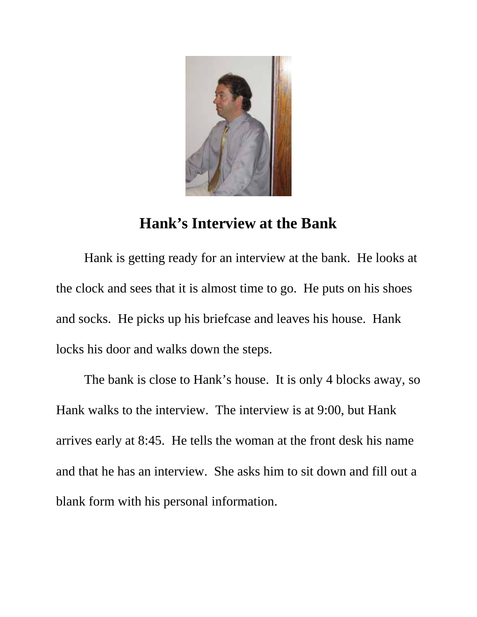

## **Hank's Interview at the Bank**

 Hank is getting ready for an interview at the bank. He looks at the clock and sees that it is almost time to go. He puts on his shoes and socks. He picks up his briefcase and leaves his house. Hank locks his door and walks down the steps.

 The bank is close to Hank's house. It is only 4 blocks away, so Hank walks to the interview. The interview is at 9:00, but Hank arrives early at 8:45. He tells the woman at the front desk his name and that he has an interview. She asks him to sit down and fill out a blank form with his personal information.